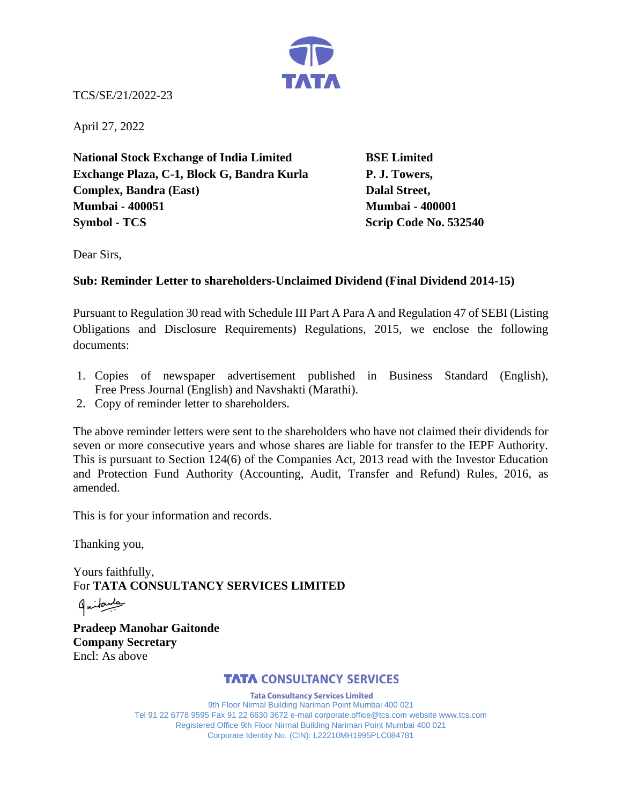

TCS/SE/21/2022-23

April 27, 2022

**National Stock Exchange of India Limited BSE Limited Exchange Plaza, C-1, Block G, Bandra Kurla P. J. Towers, Complex, Bandra (East)** Dalal Street, **Mumbai - 400051 Mumbai - 400001 Symbol - TCS** Scrip Code No. 532540

Dear Sirs,

## **Sub: Reminder Letter to shareholders-Unclaimed Dividend (Final Dividend 2014-15)**

Pursuant to Regulation 30 read with Schedule III Part A Para A and Regulation 47 of SEBI (Listing Obligations and Disclosure Requirements) Regulations, 2015, we enclose the following documents:

- 1. Copies of newspaper advertisement published in Business Standard (English), Free Press Journal (English) and Navshakti (Marathi).
- 2. Copy of reminder letter to shareholders.

The above reminder letters were sent to the shareholders who have not claimed their dividends for seven or more consecutive years and whose shares are liable for transfer to the IEPF Authority. This is pursuant to Section 124(6) of the Companies Act, 2013 read with the Investor Education and Protection Fund Authority (Accounting, Audit, Transfer and Refund) Rules, 2016, as amended.

This is for your information and records.

Thanking you,

Yours faithfully, For **TATA CONSULTANCY SERVICES LIMITED**

طبيعكنها

**Pradeep Manohar Gaitonde Company Secretary**  Encl: As above

## **TATA CONSULTANCY SERVICES**

**Tata Consultancy Services Limited** 9th Floor Nirmal Building Nariman Point Mumbai 400 021 Tel 91 22 6778 9595 Fax 91 22 6630 3672 e-mail corporate.office@tcs.com website www.tcs.com Registered Office 9th Floor Nirmal Building Nariman Point Mumbai 400 021 Corporate Identity No. (CIN): L22210MH1995PLC084781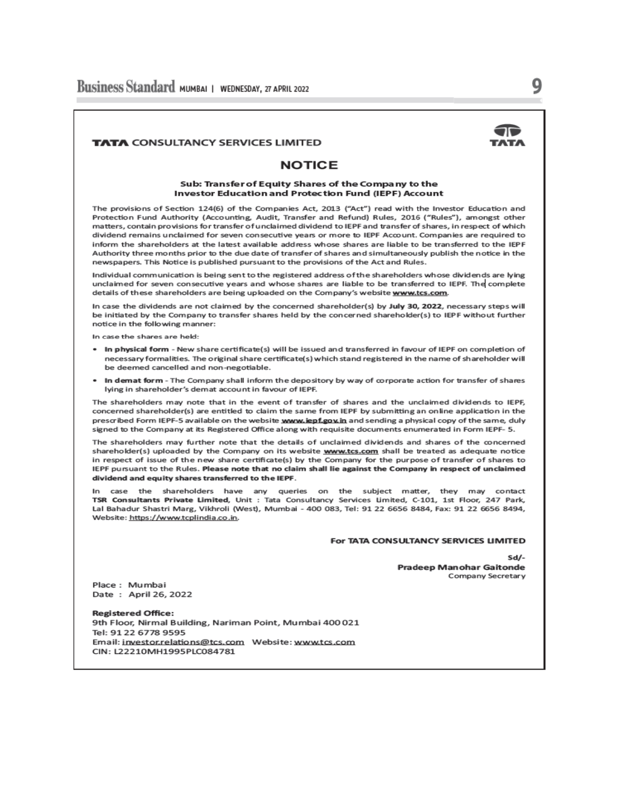

9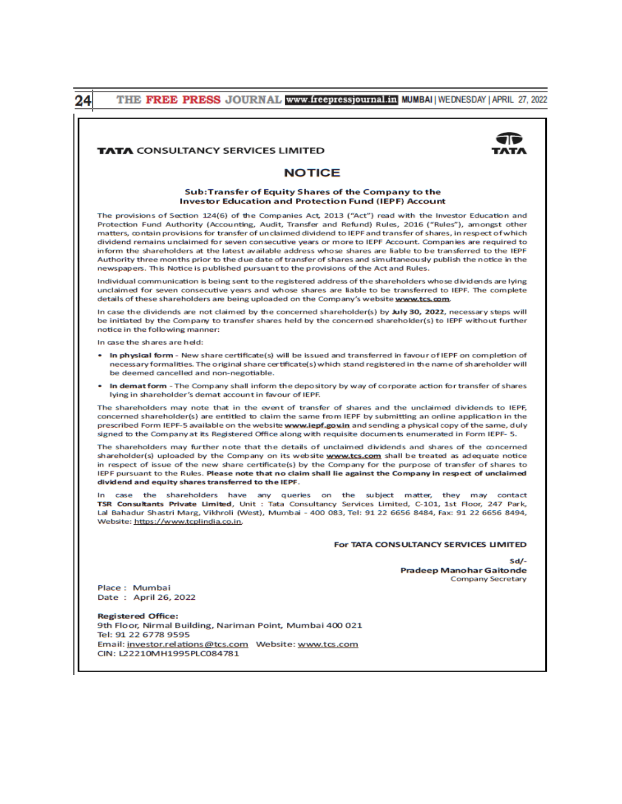|               | THE FREE PRESS JOURNAL www.freepressjournal.in MUMBAI   WEDNESDAY   APRIL 27, 2022                                                                                                                                                                                                                                                                                                                                                                                                                                                                                                                                                                                                                                                                                                  |  |  |  |
|---------------|-------------------------------------------------------------------------------------------------------------------------------------------------------------------------------------------------------------------------------------------------------------------------------------------------------------------------------------------------------------------------------------------------------------------------------------------------------------------------------------------------------------------------------------------------------------------------------------------------------------------------------------------------------------------------------------------------------------------------------------------------------------------------------------|--|--|--|
|               |                                                                                                                                                                                                                                                                                                                                                                                                                                                                                                                                                                                                                                                                                                                                                                                     |  |  |  |
|               | <b>TATA CONSULTANCY SERVICES LIMITED</b>                                                                                                                                                                                                                                                                                                                                                                                                                                                                                                                                                                                                                                                                                                                                            |  |  |  |
| <b>NOTICE</b> |                                                                                                                                                                                                                                                                                                                                                                                                                                                                                                                                                                                                                                                                                                                                                                                     |  |  |  |
|               | Sub:Transfer of Equity Shares of the Company to the<br><b>Investor Education and Protection Fund (IEPF) Account</b>                                                                                                                                                                                                                                                                                                                                                                                                                                                                                                                                                                                                                                                                 |  |  |  |
|               | The provisions of Section 124(6) of the Companies Act, 2013 ("Act") read with the Investor Education and<br>Protection Fund Authority (Accounting, Audit, Transfer and Refund) Rules, 2016 ("Rules"), amongst other<br>matters, contain provisions for transfer of unclaimed dividend to IEPF and transfer of shares, in respect of which<br>dividend remains unclaimed for seven consecutive years or more to IEPF Account. Companies are required to<br>inform the shareholders at the latest available address whose shares are liable to be transferred to the IEPF<br>Authority three months prior to the due date of transfer of shares and simultaneously publish the notice in the<br>newspapers. This Notice is published pursuant to the provisions of the Act and Rules. |  |  |  |
|               | Individual communication is being sent to the registered address of the shareholders whose dividends are lying<br>unclaimed for seven consecutive years and whose shares are liable to be transferred to IEPF. The complete<br>details of these shareholders are being uploaded on the Company's website www.tcs.com.                                                                                                                                                                                                                                                                                                                                                                                                                                                               |  |  |  |
|               | In case the dividends are not claimed by the concerned shareholder(s) by July 30, 2022, necessary steps will<br>be initiated by the Company to transfer shares held by the concerned shareholder(s) to IEPF without further<br>notice in the following manner:                                                                                                                                                                                                                                                                                                                                                                                                                                                                                                                      |  |  |  |
|               | In case the shares are held:                                                                                                                                                                                                                                                                                                                                                                                                                                                                                                                                                                                                                                                                                                                                                        |  |  |  |
|               | In physical form - New share certificate(s) will be issued and transferred in favour of IEPF on completion of<br>٠<br>necessary formalities. The original share certificate(s) which stand registered in the name of shareholder will<br>be deemed cancelled and non-negotiable.                                                                                                                                                                                                                                                                                                                                                                                                                                                                                                    |  |  |  |
|               | In demat form - The Company shall inform the depository by way of corporate action for transfer of shares<br>٠<br>lying in shareholder's demat account in favour of IEPF.                                                                                                                                                                                                                                                                                                                                                                                                                                                                                                                                                                                                           |  |  |  |
|               | The shareholders may note that in the event of transfer of shares and the unclaimed dividends to IEPF,<br>concerned shareholder(s) are entitled to claim the same from IEPF by submitting an online application in the<br>prescribed Form IEPF-5 available on the website <b>www.iepf.govin</b> and sending a physical copy of the same, duly<br>signed to the Company at its Registered Office along with requisite documents enumerated in Form IEPF- 5.                                                                                                                                                                                                                                                                                                                          |  |  |  |
|               | The shareholders may further note that the details of unclaimed dividends and shares of the concerned<br>shareholder(s) uploaded by the Company on its website www.tcs.com shall be treated as adequate notice<br>in respect of issue of the new share certificate(s) by the Company for the purpose of transfer of shares to<br>IEPF pursuant to the Rules. Please note that no claim shall lie against the Company in respect of unclaimed<br>dividend and equity shares transferred to the IEPF.                                                                                                                                                                                                                                                                                 |  |  |  |
|               | In case the shareholders have any queries on the subject matter, they may contact<br>TSR Consultants Private Limited, Unit : Tata Consultancy Services Limited, C-101, 1st Floor, 247 Park,<br>Lal Bahadur Shastri Marg, Vikhroli (West), Mumbai - 400 083, Tel: 91 22 6656 8484, Fax: 91 22 6656 8494,<br>Website: https://www.tcplindia.co.in.                                                                                                                                                                                                                                                                                                                                                                                                                                    |  |  |  |
|               | For TATA CONSULTANCY SERVICES LIMITED                                                                                                                                                                                                                                                                                                                                                                                                                                                                                                                                                                                                                                                                                                                                               |  |  |  |
|               | $Sd/-$<br><b>Pradeep Manohar Gaitonde</b><br>Company Secretary                                                                                                                                                                                                                                                                                                                                                                                                                                                                                                                                                                                                                                                                                                                      |  |  |  |
|               | Place: Mumbai<br>Date: April 26, 2022                                                                                                                                                                                                                                                                                                                                                                                                                                                                                                                                                                                                                                                                                                                                               |  |  |  |
|               | <b>Registered Office:</b><br>9th Floor, Nirmal Building, Nariman Point, Mumbai 400 021<br>Tel: 91 22 6778 9595                                                                                                                                                                                                                                                                                                                                                                                                                                                                                                                                                                                                                                                                      |  |  |  |
|               | CIN: L22210MH1995PLC084781                                                                                                                                                                                                                                                                                                                                                                                                                                                                                                                                                                                                                                                                                                                                                          |  |  |  |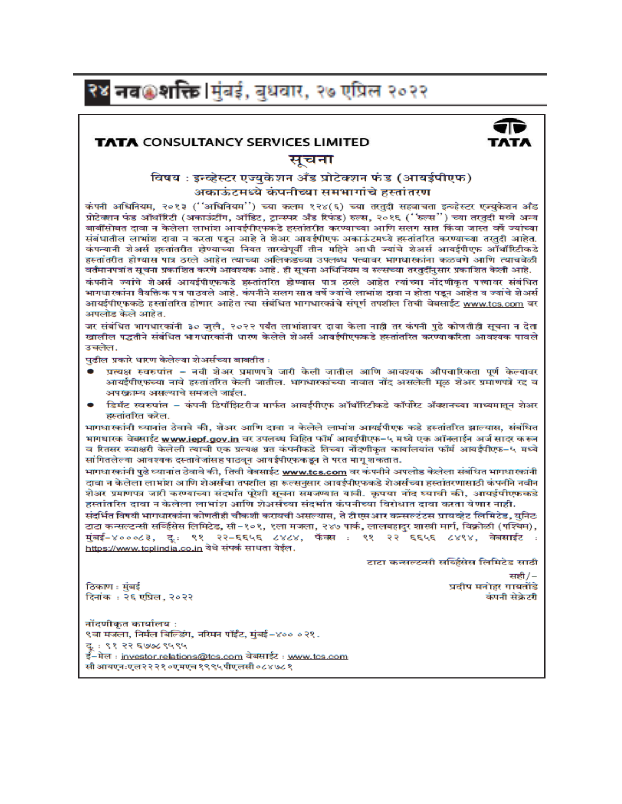# २४ नव⊛शक्ति ।मुंबई, बुधवार, २७ एप्रिल २०२२

## **TATA CONSULTANCY SERVICES LIMITED**

## सूचना

## विषय : इन्व्हेस्टर एज्यकेशन अँड प्रोटेक्शन फंड (आयर्डपीएफ) अकाऊंटमध्ये कंपनीच्या समभागांचे हस्तांतरण

कंपनी अधिनियम, २०१३ (''अधिनियम'') च्या कलम १२४(६) च्या तरतदी सहवाचता इन्व्हेस्टर एज्युकेशन अँड प्रोटेक्शन फंड ऑथॉरिटी (अकाऊंटींग, ऑडिट, ट्रान्स्फर अँड रिफंड) रुल्स, २०१६ (''रुल्स'') च्या तरतुदी मध्ये अन्य बाबींसोबत दावा न केलेला लाभांश आयईपीएफकडे हस्तांतरीत करण्याच्या आणि सलग सात किंवा जास्त वर्षे ज्यांच्या संबंधातील लाभांश दावा न करता पडन आहे ते शेअर आयर्डपीएफ अकाऊंटमध्ये हस्तांतरित करण्याच्या तरतदी आहेत. कंपन्यानी शेअर्स हस्तांतरीत होण्याच्या नियत तारखेपूर्वी तीन महिने आधी ज्यांचे शेअर्स आयईपीएफ ऑथॉरिटीकडे हस्तांतरीत होण्यास पात्र ठरले आहेत त्याच्या अलिकडच्या उपलब्ध पत्त्यावर भागधारकांना कळवणे आणि त्याचवेळी वर्तमानपत्रांत सूचना प्रकाशित करणे आवश्यक आहे. ही सूचना अधिनियम व रुल्सच्या तरतदींनुसार प्रकाशित केली आहे.

कंपनीने ज्यांचे शेअर्स आयर्डपीएफकडे इस्तांतरित होण्यास पात्र ठरले आहेत त्यांच्या नोंदणीकत पत्त्यावर संबंधित भागधारकांना वैयक्तिक पत्र पाठवले आहे. कंपनीने सलग सात वर्षे ज्यांचे लाभांश टावा न होता पडन आहेत व ज्यांचे शेअर्स आयईपीएफकडे हस्तांतरित होणार आहेत त्या संबंधित भागधारकांचे संपूर्ण तपशील तिची वेबसाईट www.tcs.com वर अपलोड केले आहेत.

जर संबंधित भागधारकांनी ३० जलै, २०२२ पर्यंत लाभांशावर दावा केला नाही तर कंपनी पढे कोणतीही सूचना न देता खालील पद्धतीने संबंधित भागधारकांनी धारण केलेले शेअर्स आयर्डपीएफकडे हस्तांतरित करण्याकरिता आवश्यक पावले उचलेल.

पढील प्रकारे धारण केलेल्या शेअर्सच्या बाबतीत :

- प्रत्यक्ष स्वरुपांत नवी शेअर प्रमाणपत्रे जारी केली जातील आणि आवश्यक औपचारिकता पूर्ण केल्यावर आयईपीएफच्या नावे हस्तांतरित केली जातील. भागधारकांच्या नावात नोंद असलेली मूळ शेअर प्रमाणपत्रे रद्द व अपख्राम्य असल्याचे समजले जाईल.
- डिमॅट स्वरुपांत कंपनी डिपॉझिटरीज मार्फत आवर्डपीएफ ऑथॉरिटीकडे कॉर्पोरेट ॲक्शनच्या माध्यमातून शेअर हस्तांतरित करेल.

भागधारकांनी ध्यानांत ठेवावे की, शेअर आणि दावा न केलेले लाभांश आयईपीएफ कडे हस्तांतरित झाल्यास, संबंधित भागधारक वेबसाईट <u>www.iepf.gov.in</u> वर उपलब्ध विहित फॉर्म आयईपीएफ–५ मध्ये एक ऑनलाईन अर्ज सादर करून व रितसर स्वाक्षरी केलेली त्याची एक प्रत्यक्ष प्रत कंपनीकडे तिच्या नोंदणीकृत कार्यालयांत फॉर्म आयईपीएफ–५ मध्ये सांगितलेल्या आवश्यक दस्तावेजांसह पाठवून आयईपीएफकडून ते परत मागू शकतात.

भागधारकांनी एढे ध्यानांत ठेवावे की, तिची वेबसाईट www.tcs.com वर कंपनीने अपलोड केलेला संबंधित भागधारकांनी दावा न केलेला लाभांश आणि शेअर्सचा तपशील हा रूल्सनसार आयर्डपीएफकडे शेअर्सच्या हस्तांतरणासाठी कंपनीने नवीन शेअर प्रमाणपत्र जारी करण्याच्या संदर्भात परेशी सूचना समजण्यात यावी. कुपया नोंद घ्यावी की, आयईपीएफकडे हस्तांतरित दावा न केलेला लाभांश आणि शेअर्सच्या संदर्भात कंपनीच्या विरोधात दावा करता येणार नाही.

संदर्भित विषयी भागधारकांना कोणतीही चौकशी करायची असल्यास. ते टी एसआर कन्सलटंटस प्रायव्हेट लिमिटेड. यनिटः टाटा कन्सल्टन्सी सर्व्हिसेस लिमिटेड, सी−१०१, १ला मजला, २४७ पार्क, लालबहादुर शास्त्री मार्ग, विक्रोळी (पश्चिम), मुंबई–४०००८३, दुः ९१ २२–६६५६ ८४८४, फॅक्स : ९१ २२ ६६५६ ८४९४, वेबसाईट : https://www.tcplindia.co.in येथे संपर्क साधता येईल.

टाटा कन्सल्टन्सी सर्व्हिसेस लिमिटेड साठी

ठिकाण : मुंबई दिनांकः २६ एप्रिल, २०२२

सही/-प्रदीप मनोहर गायतोंडे कंपनी सेकेटरी

नोंदणीकत कार्यालय: ९वा मजला, निर्मल बिल्डिंग, नरिमन पॉईंट, मुंबई-४०० ०२१. दूः ९१ २२ ६७७८९५९५ ई–मेल : <u>investor.relations@tcs.com</u> वेबसाईट : <u>www.tcs.com</u>

सी आयएनःएल२२२१०एमएच १९९५पीएलसी ०८४७८१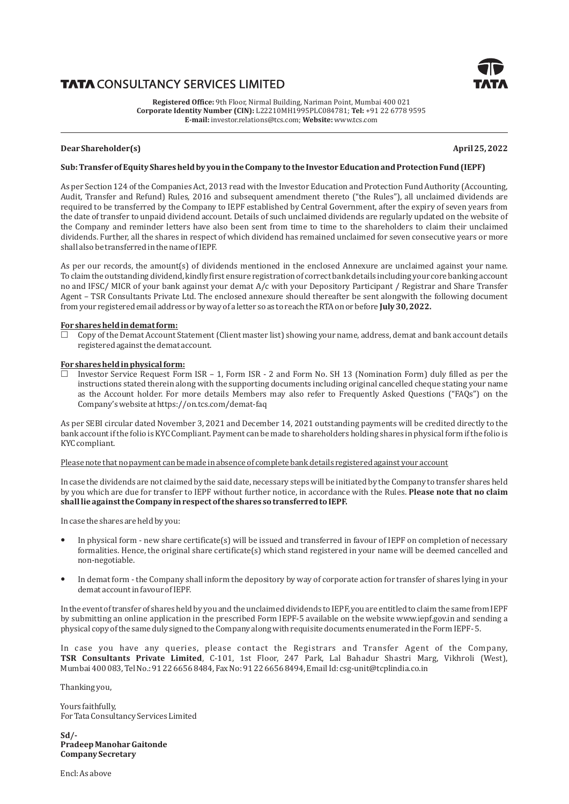# **TATA CONSULTANCY SERVICES LIMITED**



**Registered Office:** 9th Floor, Nirmal Building, Nariman Point, Mumbai 400 021 **Corporate Identity Number (CIN):** L22210MH1995PLC084781; **Tel:** +91 22 6778 9595 **E-mail:** investor.relations@tcs.com; **Website:** www.tcs.com

## **Dear Shareholder(s) April 25, 2022**

#### Sub: Transfer of Equity Shares held by you in the Company to the Investor Education and Protection Fund (IEPF)

As per Section 124 of the Companies Act, 2013 read with the Investor Education and Protection Fund Authority (Accounting, Audit, Transfer and Refund) Rules, 2016 and subsequent amendment thereto ("the Rules"), all unclaimed dividends are required to be transferred by the Company to IEPF established by Central Government, after the expiry of seven years from the date of transfer to unpaid dividend account. Details of such unclaimed dividends are regularly updated on the website of the Company and reminder letters have also been sent from time to time to the shareholders to claim their unclaimed dividends. Further, all the shares in respect of which dividend has remained unclaimed for seven consecutive years or more shall also be transferred in the name of IEPF.

As per our records, the amount(s) of dividends mentioned in the enclosed Annexure are unclaimed against your name. To claim the outstanding dividend, kindly first ensure registration of correct bank details including your core banking account no and IFSC/ MICR of your bank against your demat A/c with your Depository Participant / Registrar and Share Transfer Agent – TSR Consultants Private Ltd. The enclosed annexure should thereafter be sent alongwith the following document from your registered email address or by way of a letter so as to reach the RTA on or before **July 30, 2022.** 

#### For shares held in demat form:

£ Copy of the Demat Account Statement (Client master list) showing your name, address, demat and bank account details registered against the demat account.

#### For shares held in physical form:

£ Investor Service Request Form ISR – 1, Form ISR - 2 and Form No. SH 13 (Nomination Form) duly filled as per the instructions stated therein along with the supporting documents including original cancelled cheque stating your name as the Account holder. For more details Members may also refer to Frequently Asked Questions ("FAQs") on the Company's website at https://on.tcs.com/demat-faq

As per SEBI circular dated November 3, 2021 and December 14, 2021 outstanding payments will be credited directly to the bank account if the folio is KYC Compliant. Payment can be made to shareholders holding shares in physical form if the folio is KYC compliant.

#### Please note that no payment can be made in absence of complete bank details registered against your account

In case the dividends are not claimed by the said date, necessary steps will be initiated by the Company to transfer shares held by you which are due for transfer to IEPF without further notice, in accordance with the Rules. Please note that no claim shall lie against the Company in respect of the shares so transferred to IEPF.

In case the shares are held by you:

- In physical form new share certificate(s) will be issued and transferred in favour of IEPF on completion of necessary formalities. Hence, the original share certificate(s) which stand registered in your name will be deemed cancelled and non-negotiable.
- In demat form the Company shall inform the depository by way of corporate action for transfer of shares lying in your demat account in favour of IEPF.

In the event of transfer of shares held by you and the unclaimed dividends to IEPF, you are entitled to claim the same from IEPF by submitting an online application in the prescribed Form IEPF-5 available on the website www.iepf.gov.in and sending a physical copy of the same duly signed to the Company along with requisite documents enumerated in the Form IEPF- 5.

In case you have any queries, please contact the Registrars and Transfer Agent of the Company, **TSR Consultants Private Limited**, C-101, 1st Floor, 247 Park, Lal Bahadur Shastri Marg, Vikhroli (West), Mumbai 400 083, Tel No.: 91 22 6656 8484, Fax No: 91 22 6656 8494, Email Id: csg-unit@tcplindia.co.in

Thanking you,

For Tata Consultancy Services Limited Yours faithfully,

**Company Secretary Pradeep Manohar Gaitonde Sd/-**

Encl: As above